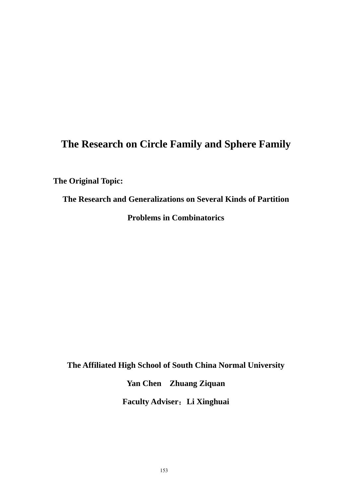# **The Research on Circle Family and Sphere Family**

**The Original Topic:** 

**The Research and Generalizations on Several Kinds of Partition Problems in Combinatorics** 

**The Affiliated High School of South China Normal University** 

**Yan Chen Zhuang Ziquan** 

**[Faculty Adviser](javascript:void(0))**:**Li Xinghuai**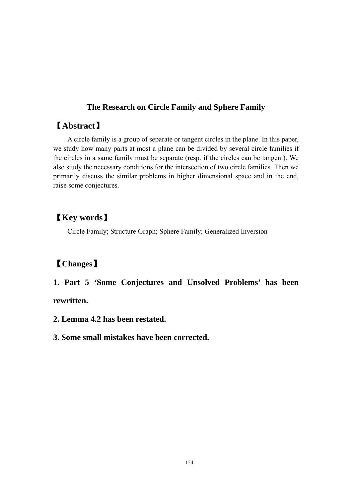### **The Research on Circle Family and Sphere Family**

## 【**Abstract**】

A circle family is a group of separate or tangent circles in the plane. In this paper, we study how many parts at most a plane can be divided by several circle families if the circles in a same family must be separate (resp. if the circles can be tangent). We also study the necessary conditions for the intersection of two circle families. Then we primarily discuss the similar problems in higher dimensional space and in the end, raise some conjectures.

# 【**Key words**】

Circle Family; Structure Graph; Sphere Family; Generalized Inversion

# 【**Changes**】

**1. Part 5 'Some Conjectures and Unsolved Problems' has been rewritten.** 

- **2. Lemma 4.2 has been restated.**
- **3. Some small mistakes have been corrected.**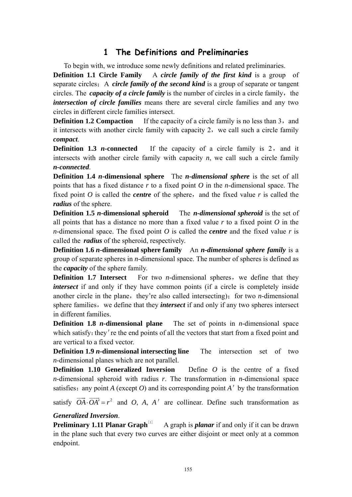## **1 The Definitions and Preliminaries**

To begin with, we introduce some newly definitions and related preliminaries.

**Definition 1.1 Circle Family** A *circle family of the first kind* is a group of separate circles; A *circle family of the second kind* is a group of separate or tangent circles. The *capacity of a circle family* is the number of circles in a circle family, the *intersection of circle families* means there are several circle families and any two circles in different circle families intersect.

**Definition 1.2 Compaction** If the capacity of a circle family is no less than 3, and it intersects with another circle family with capacity 2, we call such a circle family *compact*.

**Definition 1.3** *n***-connected** If the capacity of a circle family is 2, and it intersects with another circle family with capacity *n*, we call such a circle family *n-connected*.

**Definition 1.4** *n***-dimensional sphere** The *n-dimensional sphere* is the set of all points that has a fixed distance *r* to a fixed point *O* in the *n*-dimensional space. The fixed point  $O$  is called the *centre* of the sphere, and the fixed value  $r$  is called the *radius* of the sphere.

**Definition 1.5** *n***-dimensional spheroid** The *n*-dimensional spheroid is the set of all points that has a distance no more than a fixed value *r* to a fixed point *O* in the *n*-dimensional space. The fixed point *O* is called the *centre* and the fixed value *r* is called the *radius* of the spheroid, respectively.

**Definition 1.6** *n***-dimensional sphere family** An *n-dimensional sphere family* is a group of separate spheres in *n*-dimensional space. The number of spheres is defined as the *capacity* of the sphere family.

**Definition 1.7 Intersect** For two *n*-dimensional spheres, we define that they *intersect* if and only if they have common points (if a circle is completely inside another circle in the plane, they're also called intersecting); for two  $n$ -dimensional sphere families, we define that they *intersect* if and only if any two spheres intersect in different families.

**Definition 1.8** *n***-dimensional plane** The set of points in *n*-dimensional space which satisfy: they're the end points of all the vectors that start from a fixed point and are vertical to a fixed vector.

**Definition 1.9** *n***-dimensional intersecting line** The intersection set of two *n*-dimensional planes which are not parallel.

**Definition 1.10 Generalized Inversion** Define *O* is the centre of a fixed *n*-dimensional spheroid with radius *r*. The transformation in *n*-dimensional space satisfies: any point *A* (except *O*) and its corresponding point *A'* by the transformation

satisfy  $\overrightarrow{OA} \cdot \overrightarrow{OA'} = r^2$  and *O*, *A*, *A'* are collinear. Define such transformation as

#### *Generalized Inversion*.

**Preliminary 1.11 Planar Graph**<sup>[1]</sup> A graph is *planar* if and only if it can be drawn in the plane such that every two curves are either disjoint or meet only at a common endpoint.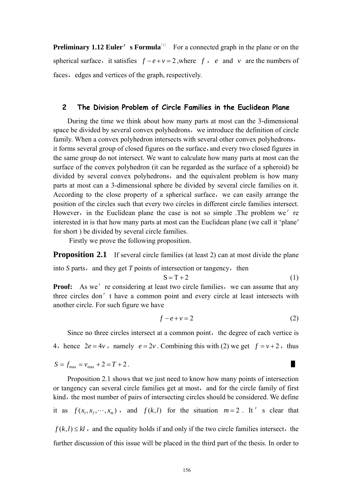**Preliminary 1.12 Euler' s Formula**<sup>[1]</sup> For a connected graph in the plane or on the spherical surface, it satisfies  $f - e + v = 2$ , where *f*, *e* and *v* are the numbers of faces, edges and vertices of the graph, respectively.

#### **2 The Division Problem of Circle Families in the Euclidean Plane**

During the time we think about how many parts at most can the 3-dimensional space be divided by several convex polyhedrons, we introduce the definition of circle family. When a convex polyhedron intersects with several other convex polyhedrons, it forms several group of closed figures on the surface, and every two closed figures in the same group do not intersect. We want to calculate how many parts at most can the surface of the convex polyhedron (it can be regarded as the surface of a spheroid) be divided by several convex polyhedrons, and the equivalent problem is how many parts at most can a 3-dimensional sphere be divided by several circle families on it. According to the close property of a spherical surface, we can easily arrange the position of the circles such that every two circles in different circle families intersect. However, in the Euclidean plane the case is not so simple .The problem we're interested in is that how many parts at most can the Euclidean plane (we call it 'plane' for short ) be divided by several circle families.

Firstly we prove the following proposition.

**Proposition 2.1** If several circle families (at least 2) can at most divide the plane

into  $S$  parts, and they get  $T$  points of intersection or tangency, then

$$
S = T + 2 \tag{1}
$$

**Proof:** As we're considering at least two circle families, we can assume that any three circles don't have a common point and every circle at least intersects with another circle. For such figure we have

$$
f - e + v = 2 \tag{2}
$$

<span id="page-3-0"></span>Since no three circles intersect at a common point, the degree of each vertice is 4, hence  $2e = 4v$ , namely  $e = 2v$ . Combining this with [\(2\)](#page-3-0) we get  $f = v + 2$ , thus

$$
S = f_{\text{max}} = v_{\text{max}} + 2 = T + 2.
$$

Proposition 2.1 shows that we just need to know how many points of intersection or tangency can several circle families get at most,and for the circle family of first kind, the most number of pairs of intersecting circles should be considered. We define it as  $f(x_1, x_2, \dots, x_m)$ , and  $f(k, l)$  for the situation  $m = 2$ . It's clear that  $f(k, l) \leq kl$ , and the equality holds if and only if the two circle families intersect, the further discussion of this issue will be placed in the third part of the thesis. In order to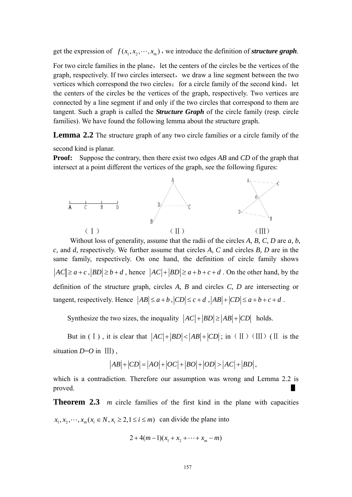get the expression of  $f(x_1, x_2, \dots, x_m)$ , we introduce the definition of *structure graph*.

For two circle families in the plane, let the centers of the circles be the vertices of the graph, respectively. If two circles intersect, we draw a line segment between the two vertices which correspond the two circles; for a circle family of the second kind, let the centers of the circles be the vertices of the graph, respectively. Two vertices are connected by a line segment if and only if the two circles that correspond to them are tangent. Such a graph is called the *Structure Graph* of the circle family (resp. circle families). We have found the following lemma about the structure graph.

**Lemma 2.2** The structure graph of any two circle families or a circle family of the

second kind is planar.

**Proof:** Suppose the contrary, then there exist two edges *AB* and *CD* of the graph that intersect at a point different the vertices of the graph, see the following figures:



Without loss of generality, assume that the radii of the circles *A, B, C, D* are *a, b, c,* and *d,* respectively. We further assume that circles *A, C* and circles *B, D* are in the same family, respectively. On one hand, the definition of circle family shows  $|AC| \ge a + c$ ,  $|BD| \ge b + d$ , hence  $|AC| + |BD| \ge a + b + c + d$ . On the other hand, by the definition of the structure graph, circles *A, B* and circles *C, D* are intersecting or tangent, respectively. Hence  $|AB| \le a+b$ ,  $|CD| \le c+d$ ,  $|AB| + |CD| \le a+b+c+d$ .

Synthesize the two sizes, the inequality  $|AC|+|BD| \ge |AB|+|CD|$  holds.

But in (I), it is clear that  $|AC|+|BD|<|AB|+|CD|$ ; in (II)(III)(II is the situation  $D=O$  in  $III$ ),

$$
\left|AB\right|+\left|CD\right|=\left|AO\right|+\left|OC\right|+\left|BO\right|+\left|OD\right|>\left|AC\right|+\left|BD\right|,
$$

which is a contradiction. Therefore our assumption was wrong and Lemma 2.2 is proved.  $\blacksquare$ 

**Theorem 2.3** *m* circle families of the first kind in the plane with capacities  $x_1, x_2, \dots, x_m$   $(x_i \in N, x_i \geq 2, 1 \leq i \leq m)$  can divide the plane into

$$
2 + 4(m-1)(x_1 + x_2 + \dots + x_m - m)
$$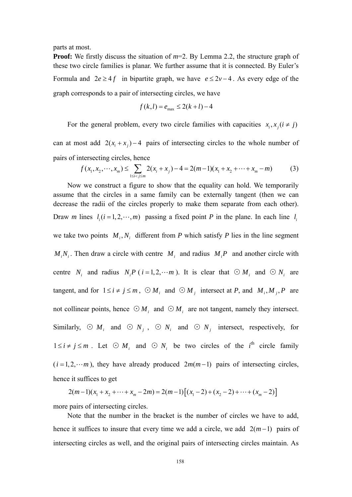parts at most.

**Proof:** We firstly discuss the situation of  $m=2$ . By Lemma 2.2, the structure graph of these two circle families is planar. We further assume that it is connected. By Euler's Formula and  $2e \ge 4f$  in bipartite graph, we have  $e \le 2v - 4$ . As every edge of the graph corresponds to a pair of intersecting circles, we have

$$
f(k,l) = e_{\text{max}} \le 2(k+l) - 4
$$

For the general problem, every two circle families with capacities  $x_i, x_j (i \neq j)$ 

can at most add  $2(x_i + x_j) - 4$  pairs of intersecting circles to the whole number of pairs of intersecting circles, hence

$$
f(x_1, x_2, \cdots, x_m) \le \sum_{1 \le i < j \le m} 2(x_i + x_j) - 4 = 2(m-1)(x_1 + x_2 + \cdots + x_m - m) \tag{3}
$$

Now we construct a figure to show that the equality can hold. We temporarily assume that the circles in a same family can be externally tangent (then we can decrease the radii of the circles properly to make them separate from each other). Draw *m* lines  $l_i$  ( $i = 1, 2, \dots, m$ ) passing a fixed point *P* in the plane. In each line  $l_i$ we take two points  $M_i, N_i$  different from *P* which satisfy *P* lies in the line segment  $M_i N_i$ . Then draw a circle with centre  $M_i$  and radius  $M_i P$  and another circle with centre  $N_i$  and radius  $N_i P(i = 1, 2, \dots m)$ . It is clear that  $\odot M_i$  and  $\odot N_i$  are tangent, and for  $1 \le i \ne j \le m$ ,  $\odot M_i$  and  $\odot M_j$  intersect at *P*, and  $M_i, M_j, P$  are not collinear points, hence  $\odot M_i$  and  $\odot M_i$  are not tangent, namely they intersect. Similarly,  $\odot$  *M<sub>i</sub>* and  $\odot$  *N<sub>j</sub>*,  $\odot$  *N<sub>i</sub>* and  $\odot$  *N<sub>j</sub>* intersect, respectively, for  $1 \le i \ne j \le m$ . Let ⊙  $M_i$  and ⊙  $N_i$  be two circles of the *i*<sup>th</sup> circle family  $(i = 1, 2, \dots, m)$ , they have already produced  $2m(m-1)$  pairs of intersecting circles, hence it suffices to get

$$
2(m-1)(x_1 + x_2 + \dots + x_m - 2m) = 2(m-1)\big[(x_1 - 2) + (x_2 - 2) + \dots + (x_m - 2)\big]
$$

more pairs of intersecting circles.

Note that the number in the bracket is the number of circles we have to add, hence it suffices to insure that every time we add a circle, we add  $2(m-1)$  pairs of intersecting circles as well, and the original pairs of intersecting circles maintain. As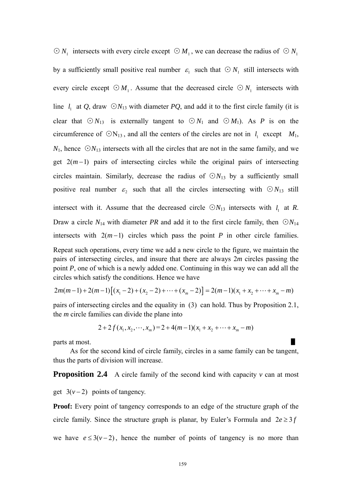$\odot$  *N*<sub>1</sub> intersects with every circle except  $\odot$  *M*<sub>1</sub>, we can decrease the radius of  $\odot$  *N*<sub>1</sub> by a sufficiently small positive real number  $\varepsilon_1$  such that  $\odot N_1$  still intersects with every circle except  $\odot M_1$ . Assume that the decreased circle  $\odot N_1$  intersects with line  $l_1$  at Q, draw  $\bigcirc N_{13}$  with diameter *PQ*, and add it to the first circle family (it is clear that  $\odot N_{13}$  is externally tangent to  $\odot N_1$  and  $\odot M_1$ ). As *P* is on the circumference of  $\bigcirc N_{13}$ , and all the centers of the circles are not in *l*<sub>1</sub> except *M*<sub>1</sub>,  $N_1$ , hence  $\bigcirc N_{13}$  intersects with all the circles that are not in the same family, and we get  $2(m-1)$  pairs of intersecting circles while the original pairs of intersecting circles maintain. Similarly, decrease the radius of  $\bigcirc N_{13}$  by a sufficiently small positive real number  $\varepsilon_2$  such that all the circles intersecting with  $\bigcirc N_{13}$  still intersect with it. Assume that the decreased circle  $\bigcirc N_{13}$  intersects with  $l_1$  at *R*. Draw a circle  $N_{14}$  with diameter *PR* and add it to the first circle family, then  $\bigcirc N_{14}$ intersects with  $2(m-1)$  circles which pass the point *P* in other circle families. Repeat such operations, every time we add a new circle to the figure, we maintain the pairs of intersecting circles, and insure that there are always 2*m* circles passing the point *P*, one of which is a newly added one. Continuing in this way we can add all the circles which satisfy the conditions. Hence we have

$$
2m(m-1)+2(m-1)\big[(x_1-2)+(x_2-2)+\cdots+(x_m-2)\big]=2(m-1)(x_1+x_2+\cdots+x_m-m)
$$

pairs of intersecting circles and the equality in (3) can hold. Thus by Proposition 2.1, the *m* circle families can divide the plane into

$$
2+2f(x_1, x_2, \cdots, x_m)=2+4(m-1)(x_1+x_2+\cdots+x_m-m)
$$

parts at most.

As for the second kind of circle family, circles in a same family can be tangent, thus the parts of division will increase.

**Proposition 2.4** A circle family of the second kind with capacity *v* can at most

get  $3(v-2)$  points of tangency.

**Proof:** Every point of tangency corresponds to an edge of the structure graph of the circle family. Since the structure graph is planar, by Euler's Formula and  $2e \geq 3f$ 

we have  $e \leq 3(v-2)$ , hence the number of points of tangency is no more than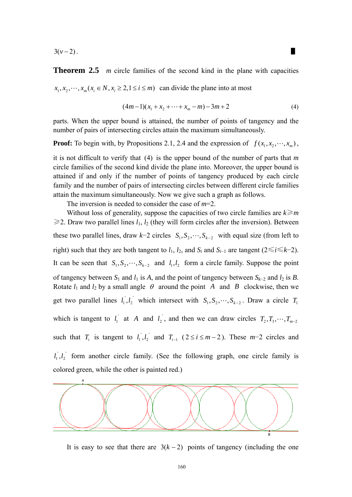$3(v-2)$ .

**Theorem 2.5** *m* circle families of the second kind in the plane with capacities  $x_1, x_2, \dots, x_m$   $(x_i \in N, x_i \geq 2, 1 \leq i \leq m)$  can divide the plane into at most

$$
(4m-1)(x_1 + x_2 + \dots + x_m - m) - 3m + 2 \tag{4}
$$

<span id="page-7-0"></span>parts. When the upper bound is attained, the number of points of tangency and the number of pairs of intersecting circles attain the maximum simultaneously.

**Proof:** To begin with, by Propositions 2.1, 2.4 and the expression of  $f(x_1, x_2, \dots, x_m)$ ,

it is not difficult to verify that [\(4\)](#page-7-0) is the upper bound of the number of parts that *m* circle families of the second kind divide the plane into. Moreover, the upper bound is attained if and only if the number of points of tangency produced by each circle family and the number of pairs of intersecting circles between different circle families attain the maximum simultaneously. Now we give such a graph as follows.

The inversion is needed to consider the case of *m*=2.

Without loss of generality, suppose the capacities of two circle families are *k*≥*m*  $\geq$ 2. Draw two parallel lines  $l_1$ ,  $l_2$  (they will form circles after the inversion). Between these two parallel lines, draw  $k-2$  circles  $S_1, S_2, \dots, S_{k-2}$  with equal size (from left to right) such that they are both tangent to  $l_1$ ,  $l_2$ , and  $S_i$  and  $S_{i-1}$  are tangent (2≤*i*≤*k*−2). It can be seen that  $S_1, S_2, \dots, S_{k-2}$  and  $l_1, l_2$  form a circle family. Suppose the point of tangency between  $S_1$  and  $l_1$  is  $A$ , and the point of tangency between  $S_{k-2}$  and  $l_2$  is  $B$ . Rotate  $l_1$  and  $l_2$  by a small angle  $\theta$  around the point A and B clockwise, then we get two parallel lines  $l_1, l_2$  which intersect with  $S_1, S_2, \dots, S_{k-2}$ . Draw a circle which is tangent to  $l_1$  at A and  $l_2$ , and then we can draw circles  $T_2, T_3, \dots, T_{m-2}$  $l_1, l_2$  which intersect with  $S_1, S_2, \dots, S_{k-2}$ . Draw a circle  $T_1$ such that  $T_i$  is tangent to  $l_1, l_2$  and  $T_{i-1}$  (  $l_1, l_2$  and  $T_{i-1}$  (2 ≤ *i* ≤ *m* − 2). These *m*−2 circles and form another circle family. (See the following graph, one circle family is colored green, while the other is painted red.)  $l_1^{\dagger}, l$ 



It is easy to see that there are  $3(k-2)$  points of tangency (including the one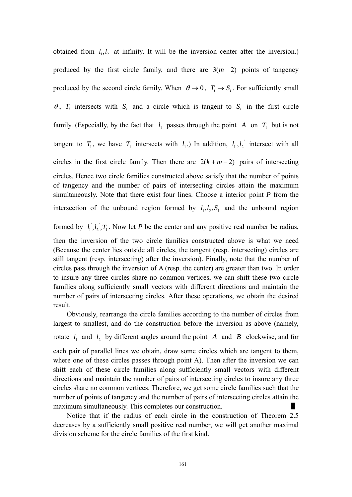obtained from  $l_1, l_2$  at infinity. It will be the inversion center after the inversion.) produced by the first circle family, and there are  $3(m-2)$  points of tangency produced by the second circle family. When  $\theta \rightarrow 0$ ,  $T_i \rightarrow S_i$ . For sufficiently small  $\theta$ ,  $T_i$  intersects with  $S_i$  and a circle which is tangent to  $S_i$  in the first circle family. (Especially, by the fact that  $l_1$  passes through the point A on  $T_1$  but is not tangent to  $T_1$ , we have  $T_1$  intersects with  $l_1$ .) In addition,  $l_1, l_2$  intersect with all circles in the first circle family. Then there are  $2(k + m - 2)$  pairs of intersecting  $l_1, l_2$ circles. Hence two circle families constructed above satisfy that the number of points of tangency and the number of pairs of intersecting circles attain the maximum simultaneously. Note that there exist four lines. Choose a interior point *P* from the intersection of the unbound region formed by  $l_1, l_2, S_1$  and the unbound region

formed by  $l_1, l_2, T_1$ . Now let *P* be the center and any positive real number be radius, ' 2  $l_1^{\prime}, l_2^{\prime}, T$ 

then the inversion of the two circle families constructed above is what we need (Because the center lies outside all circles, the tangent (resp. intersecting) circles are still tangent (resp. intersecting) after the inversion). Finally, note that the number of circles pass through the inversion of A (resp. the center) are greater than two. In order to insure any three circles share no common vertices, we can shift these two circle families along sufficiently small vectors with different directions and maintain the number of pairs of intersecting circles. After these operations, we obtain the desired result.

Obviously, rearrange the circle families according to the number of circles from largest to smallest, and do the construction before the inversion as above (namely, rotate  $l_1$  and  $l_2$  by different angles around the point A and B clockwise, and for each pair of parallel lines we obtain, draw some circles which are tangent to them, where one of these circles passes through point A). Then after the inversion we can shift each of these circle families along sufficiently small vectors with different directions and maintain the number of pairs of intersecting circles to insure any three circles share no common vertices. Therefore, we get some circle families such that the

maximum simultaneously. This completes our construction. Notice that if the radius of each circle in the construction of Theorem 2.5 decreases by a sufficiently small positive real number, we will get another maximal division scheme for the circle families of the first kind.

number of points of tangency and the number of pairs of intersecting circles attain the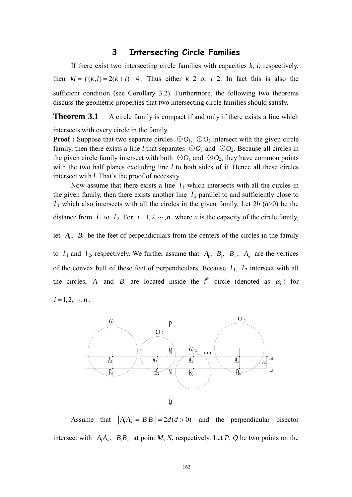#### **3 Intersecting Circle Families**

 If there exist two intersecting circle families with capacities *k*, *l*, respectively, then  $kl = f(k, l) = 2(k + l) - 4$ . Thus either  $k=2$  or  $l=2$ . In fact this is also the sufficient condition (see Corollary 3.2). Furthermore, the following two theorems discuss the geometric properties that two intersecting circle families should satisfy.

**Theorem 3.1** A circle family is compact if and only if there exists a line which

intersects with every circle in the family.

**Proof :** Suppose that two separate circles  $\odot O_1$ ,  $\odot O_2$  intersect with the given circle family, then there exists a line *l* that separates  $\odot O_1$  and  $\odot O_2$ . Because all circles in the given circle family intersect with both  $\odot O_1$  and  $\odot O_2$ , they have common points with the two half planes excluding line *l* to both sides of it. Hence all these circles intersect with *l*. That's the proof of necessity.

distance from  $l_1$  to  $l_2$ . For  $i = 1, 2, \dots, n$  where *n* is the capacity of the circle family, Now assume that there exists a line  $l_1$  which intersects with all the circles in the given family, then there exists another line  $l_2$  parallel to and sufficiently close to  $l_1$  which also intersects with all the circles in the given family. Let  $2h(h>0)$  be the

let  $A_i$ ,  $B_i$  be the feet of perpendiculars from the centers of the circles in the family

to  $l_1$  and  $l_2$ , respectively. We further assume that  $A_1$ ,  $B_1$ ,  $B_n$ ,  $A_n$  are the vertices of the convex hull of these feet of perpendiculars. Because  $l_1$ ,  $l_2$  intersect with all the circles,  $A_i$  and  $B_i$  are located inside the  $i^{\text{th}}$  circle (denoted as  $\omega_i$ ) for

 $i = 1, 2, \cdots, n$ .



Assume that  $|A_1 A_n| = |B_1 B_n| = 2d(d>0)$  and the perpendicular bisector intersect with  $A_1A_n$ ,  $B_1B_n$  at point *M*, *N*, respectively. Let *P*, *Q* be two points on the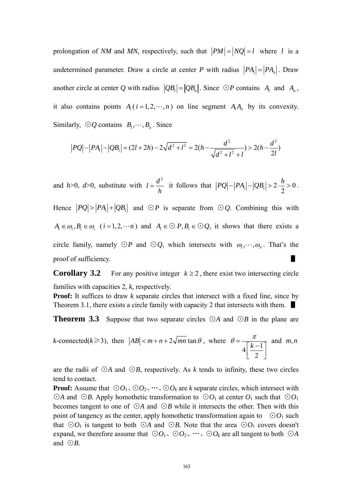prolongation of *NM* and *MN*, respectively, such that  $|PM| = |NQ| = l$  where *l* is a undetermined parameter. Draw a circle at center *P* with radius  $|PA_1| = |PA_n|$ . Draw another circle at center *Q* with radius  $|QB_1| = |QB_n|$ . Since ⊙*P* contains *A*<sub>1</sub> and *A<sub>n</sub>*, it also contains points  $A_i$  ( $i = 1, 2, \dots, n$ ) on line segment  $A_i A_n$  by its convexity. Similarly,  $\odot Q$  contains  $B_1, \dots, B_n$ . Since

$$
|PQ| - |PA_1| - |QB_1| = (2l + 2h) - 2\sqrt{d^2 + l^2} = 2(h - \frac{d^2}{\sqrt{d^2 + l^2} + l}) > 2(h - \frac{d^2}{2l})
$$

and  $h > 0$ ,  $d > 0$ , substitute with  $l = \frac{d^2}{dt^2}$  $=\frac{a}{h}$  it follows that  $|PQ| - |PA_1| - |QB_1| > 2 \cdot \frac{h}{2} > 0$  $|PQ| - |PA_1| - |QB_1| > 2 \cdot \frac{h}{2} > 0$ . Hence  $|PQ| > |PA_1| + |QB_1|$  and  $\bigcirc P$  is separate from  $\bigcirc Q$ . Combining this with  $A_i \in \omega_i, B_i \in \omega_i$  (*i* = 1, 2,  $\cdots n$ ) and  $A_i \in \mathcal{O}$  *P*,  $B_i \in \mathcal{O}Q$ , it shows that there exists a circle family, namely  $\odot P$  and  $\odot Q$ , which intersects with  $\omega_1, \dots, \omega_n$ . That's the proof of sufficiency.

**Corollary 3.2** For any positive integer  $k \ge 2$ , there exist two intersecting circle families with capacities 2, *k*, respectively.

**Proof:** It suffices to draw *k* separate circles that intersect with a fixed line, since by Theorem 3.1, there exists a circle family with capacity 2 that intersects with them. ■

**Theorem 3.3** Suppose that two separate circles ⊙*A* and ⊙*B* in the plane are

k-connected(k>3), then 
$$
|AB| < m+n+2\sqrt{mn} \tan \theta
$$
, where  $\theta = \frac{\pi}{4\left[\frac{k-1}{2}\right]}$  and  $m, n$ 

are the radii of ⊙*A* and ⊙*B*, respectively. As *k* tends to infinity, these two circles tend to contact.

**Proof:** Assume that  $\odot O_1$ ,  $\odot O_2$ ,  $\dots$ ,  $\odot O_k$  are *k* separate circles, which intersect with ⊙*A* and ⊙*B*. Apply homothetic transformation to ⊙ $O_1$  at center  $O_1$  such that ⊙ $O_1$ becomes tangent to one of ⊙*A* and ⊙*B* while it intersects the other. Then with this point of tangency as the center, apply homothetic transformation again to  $\odot O_1$  such that  $\odot O_1$  is tangent to both  $\odot A$  and  $\odot B$ . Note that the area  $\odot O_1$  covers doesn't expand, we therefore assume that  $\odot O_1$ ,  $\odot O_2$ , …,  $\odot O_k$  are all tangent to both  $\odot A$ and ⊙*B*.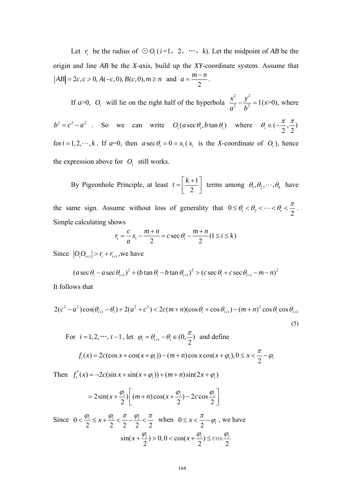Let  $r_i$  be the radius of  $\odot O_i$  (*i*=1, 2, …, *k*). Let the midpoint of *AB* be the origin and line *AB* be the *X*-axis, build up the *XY*-coordinate system. Assume that  $AB = 2c, c > 0, A(-c, 0), B(c, 0), m \ge n$  and 2  $a = \frac{m-n}{2}$ .

If  $a > 0$ ,  $O_i$  will lie on the right half of the hyperbola  $rac{x^2}{a^2} - \frac{y^2}{b^2} = 1(x>0)$ , where

 $b^2 = c^2 - a^2$  . So we can write  $O_i(a \sec \theta_i, b \tan \theta_i)$  where  $\theta_i \in \left(-\frac{\pi}{2}, \frac{\pi}{2}\right)$ for  $i = 1, 2, \dots, k$ . If  $a=0$ , then  $a \sec \theta_i = 0 = x_i (x_i)$  is the *X*-coordinate of  $O_i$ , hence the expression above for  $O_i$  still works.

By Pigeonhole Principle, at least  $t = \left[\frac{k+1}{2}\right]$ 2  $t = \left[\frac{k+1}{2}\right]$  terms among  $\theta_1, \theta_2, \dots, \theta_k$  have

the same sign. Assume without loss of generality that  $0 \le \theta_1 < \theta_2 < \cdots < \theta_t < \frac{\pi}{2}$  $\leq \theta_1 < \theta_2 < \cdots < \theta_t < \frac{\pi}{2}$ . Simple calculating shows

$$
r_i = \frac{c}{a}x_i - \frac{m+n}{2} = c \sec \theta_i - \frac{m+n}{2}(1 \le i \le k)
$$

Since  $|O_i O_{i+1}| > r_i + r_{i+1}$ , we have

$$
(a \sec \theta_i - a \sec \theta_{i+1})^2 + (b \tan \theta_i - b \tan \theta_{i+1})^2 > (c \sec \theta_i + c \sec \theta_{i+1} - m - n)^2
$$

It follows that

$$
2(c^2 - a^2)\cos(\theta_{i+1} - \theta_i) + 2(a^2 + c^2) < 2c(m+n)(\cos\theta_i + \cos\theta_{i+1}) - (m+n)^2\cos\theta_i\cos\theta_{i+1} \tag{5}
$$

For 
$$
i = 1, 2, \dots, t - 1
$$
, let  $\varphi_i = \theta_{i+1} - \theta_i \in (0, \frac{\pi}{2})$  and define  
 $f_i(x) = 2c(\cos x + \cos(x + \varphi_i)) - (m + n)\cos x \cos(x + \varphi_i), 0 \le x < \frac{\pi}{2} - \varphi_i$ 

Then  $f'_i(x) = -2c(\sin x + \sin(x + \varphi_i)) + (m+n)\sin(2x + \varphi_i)$ 

$$
=2\sin(x+\frac{\varphi_i}{2})\bigg[(m+n)\cos(x+\frac{\varphi_i}{2})-2c\cos\frac{\varphi_i}{2}\bigg]
$$

Since 0  $2$   $2$   $2$   $2$   $2$  $\frac{i}{i} \leq x + \frac{\varphi_i}{\cdot} < \frac{\kappa}{\cdot} - \frac{\varphi_i}{\cdot}$ 2  $\langle \frac{\varphi_i}{2} \leq x + \frac{\varphi_i}{2} \rangle \leq \frac{\pi}{2} - \frac{\varphi_i}{2} \rangle \leq \frac{\pi}{2}$  when  $0 \leq x \leq \frac{\pi}{2} - \varphi_i$ , we have  $\sin(x + \frac{\varphi_i}{2}) > 0, 0 < \cos(x + \frac{\varphi_i}{2})$ 2  $+\frac{\varphi_i}{2}$  > 0,0 < cos(x +  $\frac{\varphi_i}{2}$ )  $\leq$  cos $\frac{\varphi_i}{2}$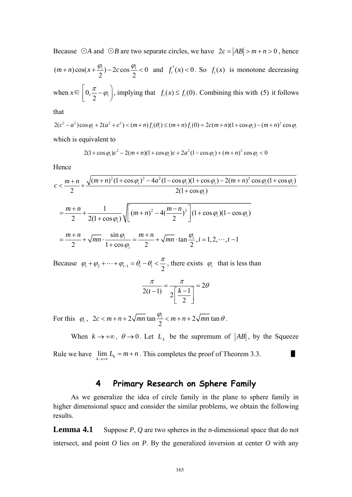Because *⊙A* and *⊙B* are two separate circles, we have  $2c = |AB| > m + n > 0$ , hence  $(m+n)\cos(x+\frac{\varphi_i}{2})-2c\cos\frac{\varphi_i}{2}<0$  and  $f'_i(x)<0$ . So  $f_i(x)$  is monotone decreasing when  $x \in \left[0, \frac{\pi}{2} - \varphi_i\right]$ , implying that  $f_i(x) \le f_i(0)$ . Combining this with (5) it follows

that

$$
2(c^2 - a^2)\cos\varphi_i + 2(a^2 + c^2) < (m+n)f_i(\theta_i) \le (m+n)f_i(0) = 2c(m+n)(1+\cos\varphi_i) - (m+n)^2\cos\varphi_i
$$

which is equivalent to

$$
2(1+\cos\varphi_i)c^2 - 2(m+n)(1+\cos\varphi_i)c + 2a^2(1-\cos\varphi_i) + (m+n)^2\cos\varphi_i < 0
$$

Hence

$$
c < \frac{m+n}{2} + \frac{\sqrt{(m+n)^2 (1+\cos\varphi_i)^2 - 4a^2 (1-\cos\varphi_i)(1+\cos\varphi_i) - 2(m+n)^2 \cos\varphi_i (1+\cos\varphi_i)}}{2(1+\cos\varphi_i)}
$$
  
= 
$$
\frac{m+n}{2} + \frac{1}{2(1+\cos\varphi_i)} \sqrt{\left[(m+n)^2 - 4(\frac{m-n}{2})^2\right] (1+\cos\varphi_i)(1-\cos\varphi_i)}
$$
  
= 
$$
\frac{m+n}{2} + \sqrt{mn} \cdot \frac{\sin\varphi_i}{1+\cos\varphi_i} = \frac{m+n}{2} + \sqrt{mn} \cdot \tan\frac{\varphi_i}{2}, i = 1, 2, \dots, t-1
$$

Because  $\varphi_1 + \varphi_2 + \cdots + \varphi_{t-1} = \theta_t - \theta_1 < \frac{\pi}{2}$ , there exists  $\varphi_i$  that is less than

$$
\frac{\pi}{2(t-1)} = \frac{\pi}{2\left[\frac{k-1}{2}\right]} = 2\theta
$$

For this  $\varphi_i$ ,  $2c < m+n+2\sqrt{mn} \tan \frac{\varphi_i}{2} < m+n+2$  $c < m+n+2\sqrt{mn} \tan \frac{\varphi_i}{2} < m+n+2\sqrt{mn} \tan \theta$ .

When  $k \to +\infty$ ,  $\theta \to 0$ . Let  $L_k$  be the supremum of  $|AB|$ , by the Squeeze Rule we have  $\lim_{k \to +\infty} L_k = m + n$ . This completes the proof of Theorem 3.3.

#### **4 Primary Research on Sphere Family**

 As we generalize the idea of circle family in the plane to sphere family in higher dimensional space and consider the similar problems, we obtain the following results.

**Lemma 4.1** Suppose *P*, *Q* are two spheres in the *n*-dimensional space that do not intersect, and point  $O$  lies on  $P$ . By the generalized inversion at center  $O$  with any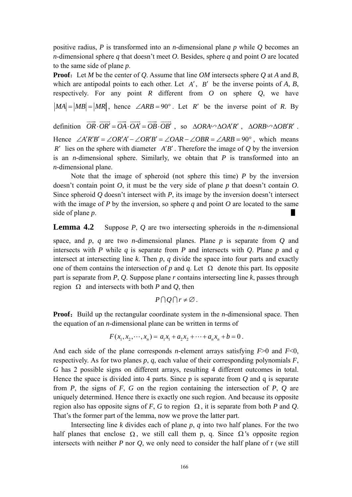positive radius, *P* is transformed into an *n*-dimensional plane *p* while *Q* becomes an *n*-dimensional sphere *q* that doesn't meet *O*. Besides, sphere *q* and point *O* are located to the same side of plane *p*.

**Proof:** Let *M* be the center of *Q*. Assume that line *OM* intersects sphere *Q* at *A* and *B*, which are antipodal points to each other. Let *A*′, *B*′ be the inverse points of *A*, *B*, respectively. For any point *R* different from *O* on sphere *Q*, we have  $|MA| = |MB| = |MR|$ , hence ∠*ARB* = 90°. Let *R'* be the inverse point of *R*. By

definition  $\overrightarrow{OR} \cdot \overrightarrow{OR'} = \overrightarrow{OA} \cdot \overrightarrow{OA'} = \overrightarrow{OB} \cdot \overrightarrow{OB'}$ , so  $\triangle ORA \sim \triangle OA'R'$ ,  $\triangle ORB \sim \triangle OB'R'$ . Hence  $\angle A'R'B' = \angle OR'A' - \angle OR'B' = \angle OAR - \angle OBR = \angle ARB = 90^{\circ}$ , which means *R'* lies on the sphere with diameter  $A'B'$ . Therefore the image of  $Q$  by the inversion is an *n*-dimensional sphere. Similarly, we obtain that *P* is transformed into an *n*-dimensional plane.

 Note that the image of spheroid (not sphere this time) *P* by the inversion doesn't contain point *O*, it must be the very side of plane *p* that doesn't contain *O*. Since spheroid *Q* doesn't intersect with *P*, its image by the inversion doesn't intersect with the image of *P* by the inversion, so sphere *q* and point *O* are located to the same side of plane *p*.

**Lemma 4.2** Suppose *P*, *Q* are two intersecting spheroids in the *n*-dimensional

space, and *p*, *q* are two *n*-dimensional planes. Plane *p* is separate from *Q* and intersects with *P* while *q* is separate from *P* and intersects with *Q*. Plane *p* and *q* intersect at intersecting line *k*. Then *p*, *q* divide the space into four parts and exactly one of them contains the intersection of *p* and *q*. Let  $\Omega$  denote this part. Its opposite part is separate from *P*, *Q*. Suppose plane *r* contains intersecting line *k*, passes through region Ω and intersects with both *P* and *Q*, then

$$
P\cap Q\cap r\neq\emptyset.
$$

**Proof:** Build up the rectangular coordinate system in the *n*-dimensional space. Then the equation of an *n*-dimensional plane can be written in terms of

$$
F(x_1, x_2, \cdots, x_n) = a_1x_1 + a_2x_2 + \cdots + a_nx_n + b = 0.
$$

And each side of the plane corresponds *n*-element arrays satisfying *F*>0 and *F*<0, respectively. As for two planes *p*, *q*, each value of their corresponding polynomials *F*, *G* has 2 possible signs on different arrays, resulting 4 different outcomes in total. Hence the space is divided into 4 parts. Since p is separate from *Q* and q is separate from *P*, the signs of *F*, *G* on the region containing the intersection of *P*, *Q* are uniquely determined. Hence there is exactly one such region. And because its opposite region also has opposite signs of *F*, *G* to region Ω , it is separate from both *P* and *Q*. That's the former part of the lemma, now we prove the latter part.

Intersecting line  $k$  divides each of plane  $p$ ,  $q$  into two half planes. For the two half planes that enclose  $\Omega$ , we still call them p, q. Since  $\Omega$ 's opposite region intersects with neither *P* nor *Q*, we only need to consider the half plane of r (we still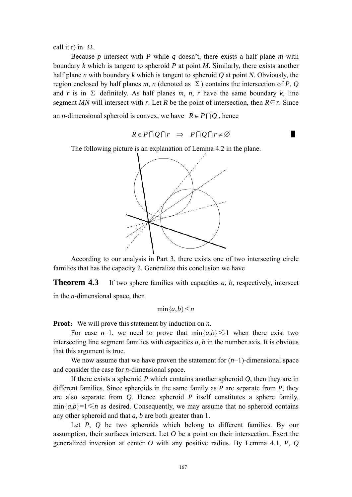call it r) in  $\Omega$ .

 Because *p* intersect with *P* while *q* doesn't, there exists a half plane *m* with boundary *k* which is tangent to spheroid *P* at point *M*. Similarly, there exists another half plane *n* with boundary *k* which is tangent to spheroid *Q* at point *N*. Obviously, the region enclosed by half planes *m*, *n* (denoted as  $\Sigma$ ) contains the intersection of *P*, *Q* and *r* is in  $\Sigma$  definitely. As half planes *m*, *n*, *r* have the same boundary *k*, line segment *MN* will intersect with *r*. Let *R* be the point of intersection, then  $R \in r$ . Since

an *n*-dimensional spheroid is convex, we have  $R \in P \cap Q$ , hence

$$
R \in P \cap Q \cap r \Rightarrow P \cap Q \cap r \neq \varnothing
$$

The following picture is an explanation of Lemma 4.2 in the plane.



 According to our analysis in Part 3, there exists one of two intersecting circle families that has the capacity 2. Generalize this conclusion we have

**Theorem 4.3** If two sphere families with capacities *a*, *b*, respectively, intersect in the *n*-dimensional space, then

$$
\min\{a, b\} \le n
$$

**Proof:** We will prove this statement by induction on *n*.

For case  $n=1$ , we need to prove that  $\min\{a,b\} \leq 1$  when there exist two intersecting line segment families with capacities  $a, b$  in the number axis. It is obvious that this argument is true.

 We now assume that we have proven the statement for (*n*−1)-dimensional space and consider the case for *n*-dimensional space.

 If there exists a spheroid *P* which contains another spheroid *Q*, then they are in different families. Since spheroids in the same family as *P* are separate from *P*, they are also separate from *Q*. Hence spheroid *P* itself constitutes a sphere family,  $\min\{a,b\} = 1 \leq n$  as desired. Consequently, we may assume that no spheroid contains any other spheroid and that *a*, *b* are both greater than 1.

 Let *P*, *Q* be two spheroids which belong to different families. By our assumption, their surfaces intersect. Let *O* be a point on their intersection. Exert the generalized inversion at center *O* with any positive radius. By Lemma 4.1, *P*, *Q*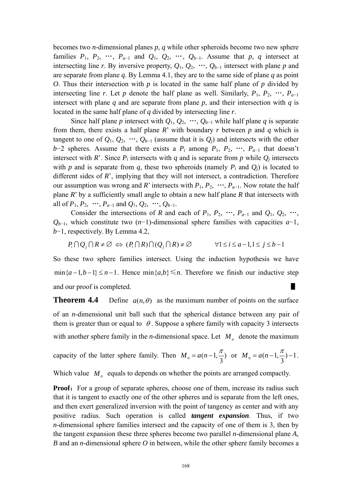becomes two *n*-dimensional planes *p*, *q* while other spheroids become two new sphere families  $P_1$ ,  $P_2$ , …,  $P_{a-1}$  and  $Q_1$ ,  $Q_2$ , …,  $Q_{b-1}$ . Assume that  $p, q$  intersect at intersecting line *r*. By inversive property,  $Q_1$ ,  $Q_2$ , …,  $Q_{b-1}$  intersect with plane *p* and are separate from plane *q*. By Lemma 4.1, they are to the same side of plane *q* as point *O*. Thus their intersection with *p* is located in the same half plane of *p* divided by intersecting line *r*. Let *p* denote the half plane as well. Similarly,  $P_1$ ,  $P_2$ , …,  $P_{a-1}$ intersect with plane  $q$  and are separate from plane  $p$ , and their intersection with  $q$  is located in the same half plane of *q* divided by intersecting line *r*.

Since half plane *p* intersect with  $Q_1, Q_2, ..., Q_{b-1}$  while half plane *q* is separate from them, there exists a half plane *R*' with boundary *r* between *p* and *q* which is tangent to one of  $Q_1, Q_2, \dots, Q_{b-1}$  (assume that it is  $Q_i$ ) and intersects with the other *b*−2 spheres. Assume that there exists a  $P_i$  among  $P_1$ ,  $P_2$ , …,  $P_{a-1}$  that doesn't intersect with *R*'. Since  $P_i$  intersects with *q* and is separate from *p* while  $Q_i$  intersects with *p* and is separate from *q*, these two spheroids (namely  $P_i$  and  $Q_i$ ) is located to different sides of *R*', implying that they will not intersect, a contradiction. Therefore our assumption was wrong and *R*' intersects with  $P_1, P_2, \dots, P_{a-1}$ . Now rotate the half plane *R*' by a sufficiently small angle to obtain a new half plane *R* that intersects with all of  $P_1, P_2, \dots, P_{a-1}$  and  $Q_1, Q_2, \dots, Q_{b-1}$ .

Consider the intersections of *R* and each of  $P_1$ ,  $P_2$ , …,  $P_{a-1}$  and  $Q_1$ ,  $Q_2$ , …, *Qb*−1, which constitute two (*n*−1)-dimensional sphere families with capacities *a*−1, *b*−1, respectively. By Lemma 4.2,

$$
P_i \cap Q_j \cap R \neq \emptyset \Leftrightarrow (P_i \cap R) \cap (Q_j \cap R) \neq \emptyset \qquad \forall 1 \le i \le a-1, 1 \le j \le b-1
$$

So these two sphere families intersect. Using the induction hypothesis we have  $\min\{a-1, b-1\} \leq n-1$ . Hence  $\min\{a,b\} \leq n$ . Therefore we finish our inductive step and our proof is completed.

**Theorem 4.4** Define  $a(n, \theta)$  as the maximum number of points on the surface of an *n*-dimensional unit ball such that the spherical distance between any pair of them is greater than or equal to  $\theta$ . Suppose a sphere family with capacity 3 intersects with another sphere family in the *n*-dimensional space. Let  $M<sub>n</sub>$  denote the maximum

capacity of the latter sphere family. Then 
$$
M_n = a(n-1, \frac{\pi}{3})
$$
 or  $M_n = a(n-1, \frac{\pi}{3})-1$ .

Which value  $M_n$  equals to depends on whether the points are arranged compactly.

**Proof:** For a group of separate spheres, choose one of them, increase its radius such that it is tangent to exactly one of the other spheres and is separate from the left ones, and then exert generalized inversion with the point of tangency as center and with any positive radius. Such operation is called *tangent expansion*. Thus, if two *n*-dimensional sphere families intersect and the capacity of one of them is 3, then by the tangent expansion these three spheres become two parallel *n*-dimensional plane *A*, *B* and an *n*-dimensional sphere *O* in between, while the other sphere family becomes a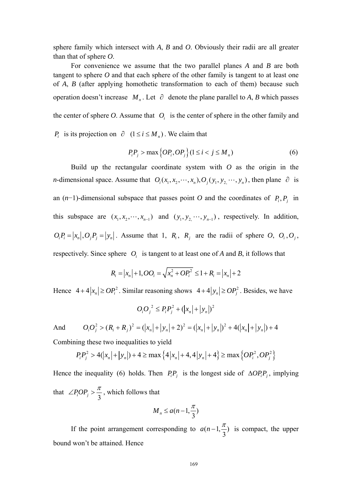sphere family which intersect with *A*, *B* and *O*. Obviously their radii are all greater than that of sphere *O*.

 For convenience we assume that the two parallel planes *A* and *B* are both tangent to sphere *O* and that each sphere of the other family is tangent to at least one of *A*, *B* (after applying homothetic transformation to each of them) because such operation doesn't increase  $M_n$ . Let  $\partial$  denote the plane parallel to *A*, *B* which passes the center of sphere  $O$ . Assume that  $O_i$  is the center of sphere in the other family and *P<sub>i</sub>* is its projection on  $\partial$   $(1 \le i \le M_n)$ . We claim that

$$
P_i P_j > \max\left\{OP_i, OP_j\right\} (1 \le i < j \le M_n) \tag{6}
$$

<span id="page-16-0"></span>*n*-dimensional space. Assume that  $O_i(x_1, x_2, \dots, x_n)$ ,  $O_j(y_1, y_2, \dots, y_n)$ , then plane  $\partial$  is Build up the rectangular coordinate system with *O* as the origin in the an  $(n-1)$ -dimensional subspace that passes point *O* and the coordinates of  $P_i, P_j$  in this subspace are  $(x_1, x_2, \dots, x_{n-1})$  and  $(y_1, y_2, \dots, y_{n-1})$ , respectively. In addition,  $O_i P_i = |x_n|, O_j P_j = |y_n|$ . Assume that 1,  $R_i$ ,  $R_j$  are the radii of sphere  $O_i$ ,  $O_j$ ,  $O_j$ , respectively. Since sphere  $O_i$  is tangent to at least one of *A* and *B*, it follows that

$$
R_i = |x_n| + 1, O O_i = \sqrt{x_n^2 + O P_i^2} \le 1 + R_i = |x_n| + 2
$$

Hence  $4 + 4|x_n| \ge OP_i^2$ . Similar reasoning shows  $4 + 4|y_n| \ge OP_i^2$ . Besides, we have

$$
O_i O_j^2 \le P_i P_j^2 + (|x_n| + |y_n|)^2
$$

And  $Q_1Q_1^2 > (R_1 + R_1)^2 = (|x_n| + |y_n| + 2)^2 = (|x_n| + |y_n|)^2 + 4(|x_n| + |y_n|) + 4$ 

Combining these two inequalities to yield

$$
P_i P_j^2 > 4(|x_n| + |y_n|) + 4 \ge \max\left\{4|x_n| + 4, 4|y_n| + 4\right\} \ge \max\left\{OP_i^2, OP_j^2\right\}
$$

Hence the inequality [\(6\)](#page-16-0) holds. Then  $P_i P_j$  is the longest side of  $\Delta OP_i P_j$ , implying that  $\angle P_iOP_j > \frac{\pi}{3}$ , which follows that

$$
M_n \le a(n-1,\frac{\pi}{3})
$$

If the point arrangement corresponding to  $a(n-1, \frac{\pi}{3})$  is compact, the upper bound won't be attained. Hence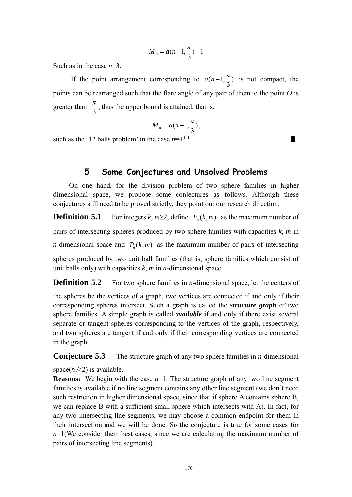$$
M_n = a(n-1,\frac{\pi}{3})-1
$$

Such as in the case *n*=3.

If the point arrangement corresponding to  $a(n-1, \frac{\pi}{3})$  is not compact, the points can be rearranged such that the flare angle of any pair of them to the point *O* is greater than  $\frac{\pi}{3}$ , thus the upper bound is attained, that is,

$$
M_n = a(n-1,\frac{\pi}{3}),
$$

such as the '12 balls problem' in the case  $n=4$ <sup>[5]</sup>

## **5 Some Conjectures and Unsolved Problems**

On one hand, for the division problem of two sphere families in higher dimensional space, we propose some conjectures as follows. Although these conjectures still need to be proved strictly, they point out our research direction.

**Definition 5.1** For integers  $k, m \geq 2$ , define  $F_n(k,m)$  as the maximum number of pairs of intersecting spheres produced by two sphere families with capacities *k*, *m* in *n*-dimensional space and  $P_n(k,m)$  as the maximum number of pairs of intersecting spheres produced by two unit ball families (that is, sphere families which consist of unit balls only) with capacities *k*, *m* in *n*-dimensional space.

**Definition 5.2** For two sphere families in *n*-dimensional space, let the centers of

the spheres be the vertices of a graph, two vertices are connected if and only if their corresponding spheres intersect. Such a graph is called the *structure graph* of two sphere families. A simple graph is called *available* if and only if there exist several separate or tangent spheres corresponding to the vertices of the graph, respectively, and two spheres are tangent if and only if their corresponding vertices are connected in the graph.

**Conjecture 5.3** The structure graph of any two sphere families in *n*-dimensional

space( $n \ge 2$ ) is available.

**Reasons:** We begin with the case  $n=1$ . The structure graph of any two line segment families is available if no line segment contains any other line segment (we don't need such restriction in higher dimensional space, since that if sphere A contains sphere B, we can replace B with a sufficient small sphere which intersects with A). In fact, for any two intersecting line segments, we may choose a common endpoint for them in their intersection and we will be done. So the conjecture is true for some cases for  $n=1$ (We consider them best cases, since we are calculating the maximum number of pairs of intersecting line segments).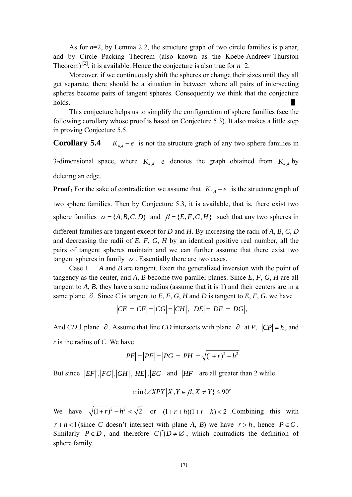As for *n*=2, by Lemma 2.2, the structure graph of two circle families is planar, and by Circle Packing Theorem (also known as the Koebe-Andreev-Thurston Theorem)<sup>[2]</sup>, it is available. Hence the conjecture is also true for  $n=2$ .

Moreover, if we continuously shift the spheres or change their sizes until they all get separate, there should be a situation in between where all pairs of intersecting spheres become pairs of tangent spheres. Consequently we think that the conjecture holds.  $\blacksquare$ 

 This conjecture helps us to simplify the configuration of sphere families (see the following corollary whose proof is based on Conjecture 5.3). It also makes a little step in proving Conjecture 5.5.

**Corollary 5.4**  $K_{4,4} - e$  is not the structure graph of any two sphere families in

3-dimensional space, where  $K_{4,4} - e$  denotes the graph obtained from  $K_{4,4}$  by deleting an edge.

**Proof:** For the sake of contradiction we assume that  $K_{4,4} - e$  is the structure graph of two sphere families. Then by Conjecture 5.3, it is available, that is, there exist two sphere families  $\alpha = \{A, B, C, D\}$  and  $\beta = \{E, F, G, H\}$  such that any two spheres in different families are tangent except for *D* and *H*. By increasing the radii of *A*, *B*, *C*, *D* and decreasing the radii of *E*, *F*, *G*, *H* by an identical positive real number, all the pairs of tangent spheres maintain and we can further assume that there exist two tangent spheres in family  $\alpha$ . Essentially there are two cases.

 Case 1 *A* and *B* are tangent. Exert the generalized inversion with the point of tangency as the center, and *A*, *B* become two parallel planes. Since *E*, *F*, *G*, *H* are all tangent to *A*, *B*, they have a same radius (assume that it is 1) and their centers are in a same plane  $\partial$ . Since *C* is tangent to *E*, *F*, *G*, *H* and *D* is tangent to *E*, *F*, *G*, we have

$$
|CE| = |CF| = |CG| = |CH|, |DE| = |DF| = |DG|,
$$

And *CD*  $\perp$  plane  $\partial$ . Assume that line *CD* intersects with plane  $\partial$  at *P*,  $|CP| = h$ , and *r* is the radius of *C*. We have

$$
|PE| = |PF| = |PG| = |PH| = \sqrt{(1+r)^2 - h^2}
$$

But since  $|EF|, |FG|, |GH|, |HE|, |EG|$  and  $|HF|$  are all greater than 2 while

$$
\min\{ \angle XPY | X, Y \in \beta, X \neq Y \} \le 90^{\circ}
$$

We have  $\sqrt{(1 + r)^2 - h^2} < \sqrt{2}$  or  $(1 + r + h)(1 + r - h) < 2$ . Combining this with

 $r + h < 1$  (since *C* doesn't intersect with plane *A*, *B*) we have  $r > h$ , hence  $P \in C$ . Similarly  $P \in D$ , and therefore  $C \cap D \neq \emptyset$ , which contradicts the definition of sphere family.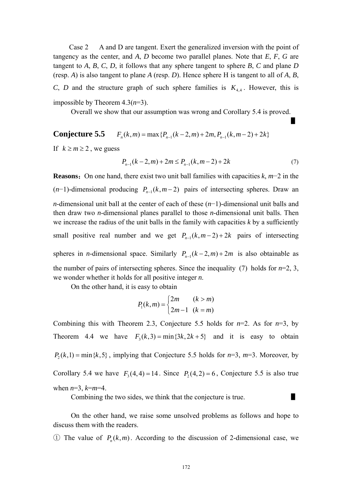Case 2 A and D are tangent. Exert the generalized inversion with the point of tangency as the center, and *A*, *D* become two parallel planes. Note that *E*, *F*, *G* are tangent to *A*, *B*, *C*, *D*, it follows that any sphere tangent to sphere *B*, *C* and plane *D*  (resp. *A*) is also tangent to plane *A* (resp. *D*). Hence sphere H is tangent to all of *A*, *B*, *C*, *D* and the structure graph of such sphere families is  $K_{4,4}$ . However, this is impossible by Theorem 4.3(*n*=3).

Overall we show that our assumption was wrong and Corollary 5.4 is proved.

**Conjecture 5.5**  $F_n(k,m) = \max\{P_{n-1}(k-2,m) + 2m, P_{n-1}(k,m-2) + 2k\}$ 

<span id="page-19-0"></span>If  $k \ge m \ge 2$ , we guess

$$
P_{n-1}(k-2,m) + 2m \le P_{n-1}(k,m-2) + 2k \tag{7}
$$

▋

**Reasons**:On one hand, there exist two unit ball families with capacities *k*, *m*−2 in the  $(n-1)$ -dimensional producing  $P_{n-1}(k, m-2)$  pairs of intersecting spheres. Draw an *n*-dimensional unit ball at the center of each of these (*n*−1)-dimensional unit balls and then draw two *n*-dimensional planes parallel to those *n*-dimensional unit balls. Then we increase the radius of the unit balls in the family with capacities  $k$  by a sufficiently small positive real number and we get  $P_{n-1}(k, m-2) + 2k$  pairs of intersecting spheres in *n*-dimensional space. Similarly  $P_{n-1}(k-2,m) + 2m$  is also obtainable as the number of pairs of intersecting spheres. Since the inequality [\(7\)](#page-19-0) holds for  $n=2, 3$ , we wonder whether it holds for all positive integer *n*.

On the other hand, it is easy to obtain

$$
P_1(k,m) = \begin{cases} 2m & (k > m) \\ 2m - 1 & (k = m) \end{cases}
$$

Combining this with Theorem 2.3, Conjecture 5.5 holds for  $n=2$ . As for  $n=3$ , by Theorem 4.4 we have  $F_3(k, 3) = min{3k, 2k + 5}$  and it is easy to obtain  $P_2(k,1) = \min\{k, 5\}$ , implying that Conjecture 5.5 holds for  $n=3$ ,  $m=3$ . Moreover, by Corollary 5.4 we have  $F_3(4, 4) = 14$ . Since  $P_2(4, 2) = 6$ , Conjecture 5.5 is also true when *n*=3, *k*=*m*=4.

Combining the two sides, we think that the conjecture is true.

On the other hand, we raise some unsolved problems as follows and hope to discuss them with the readers.

① The value of  $P_n(k, m)$ . According to the discussion of 2-dimensional case, we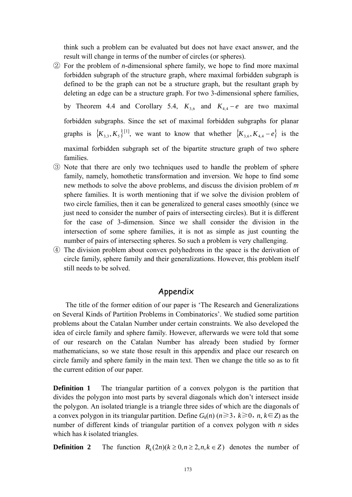think such a problem can be evaluated but does not have exact answer, and the result will change in terms of the number of circles (or spheres).

② For the problem of *n*-dimensional sphere family, we hope to find more maximal forbidden subgraph of the structure graph, where maximal forbidden subgraph is defined to be the graph can not be a structure graph, but the resultant graph by deleting an edge can be a structure graph. For two 3-dimensional sphere families,

by Theorem 4.4 and Corollary 5.4,  $K_{3,6}$  and  $K_{4,4} - e$  are two maximal forbidden subgraphs. Since the set of maximal forbidden subgraphs for planar graphs is  $\{K_{3,3}, K_5\}^{[1]}$ , we want to know that whether  $\{K_{3,6}, K_{4,4}-e\}$  is the maximal forbidden subgraph set of the bipartite structure graph of two sphere families.

- ③ Note that there are only two techniques used to handle the problem of sphere family, namely, homothetic transformation and inversion. We hope to find some new methods to solve the above problems, and discuss the division problem of *m* sphere families. It is worth mentioning that if we solve the division problem of two circle families, then it can be generalized to general cases smoothly (since we just need to consider the number of pairs of intersecting circles). But it is different for the case of 3-dimension. Since we shall consider the division in the intersection of some sphere families, it is not as simple as just counting the number of pairs of intersecting spheres. So such a problem is very challenging.
- ④ The division problem about convex polyhedrons in the space is the derivation of circle family, sphere family and their generalizations. However, this problem itself still needs to be solved.

### Appendix

The title of the former edition of our paper is 'The Research and Generalizations on Several Kinds of Partition Problems in Combinatorics'. We studied some partition problems about the Catalan Number under certain constraints. We also developed the idea of circle family and sphere family. However, afterwards we were told that some of our research on the Catalan Number has already been studied by former mathematicians, so we state those result in this appendix and place our research on circle family and sphere family in the main text. Then we change the title so as to fit the current edition of our paper.

**Definition 1** The triangular partition of a convex polygon is the partition that divides the polygon into most parts by several diagonals which don't intersect inside the polygon. An isolated triangle is a triangle three sides of which are the diagonals of a convex polygon in its triangular partition. Define  $G_k(n)$  ( $n \ge 3$ ,  $k \ge 0$ ,  $n, k \in \mathbb{Z}$ ) as the number of different kinds of triangular partition of a convex polygon with *n* sides which has *k* isolated triangles.

**Definition 2** The function  $R_k(2n)(k \geq 0, n \geq 2, n, k \in \mathbb{Z})$  denotes the number of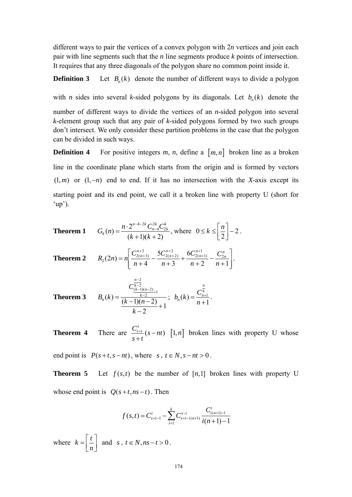different ways to pair the vertices of a convex polygon with 2*n* vertices and join each pair with line segments such that the *n* line segments produce *k* points of intersection. It requires that any three diagonals of the polygon share no common point inside it.

#### **Definition 3** Let  $B_n(k)$  denote the number of different ways to divide a polygon

with *n* sides into several *k*-sided polygons by its diagonals. Let  $b_n(k)$  denote the

number of different ways to divide the vertices of an *n*-sided polygon into several *k*-element group such that any pair of *k*-sided polygons formed by two such groups don't intersect. We only consider these partition problems in the case that the polygon can be divided in such ways.

**Definition 4** For positive integers  $m$ ,  $n$ , define a  $[m, n]$  broken line as a broken line in the coordinate plane which starts from the origin and is formed by vectors  $(1, m)$  or  $(1, -n)$  end to end. If it has no intersection with the *X*-axis except its starting point and its end point, we call it a broken line with property U (short for  $(up')$ .

**Theorem 1** 
$$
G_k(n) = \frac{n \cdot 2^{n-4-2k} C_{n-4}^{2k} C_{2k}^k}{(k+1)(k+2)}, \text{ where } 0 \le k \le \left[\frac{n}{2}\right] - 2.
$$

**Theorem 2** 
$$
R_2(2n) = n \left[ \frac{C_{2(n+3)}^{n+3}}{n+4} - \frac{5C_{2(n+2)}^{n+2}}{n+3} + \frac{6C_{2(n+1)}^{n+1}}{n+2} - \frac{C_{2n}^n}{n+1} \right].
$$

**Theorem 3** 
$$
B_n(k) = \frac{C_{\frac{k-1}{2}(n-2)+1}}{\frac{k-2}{2}+1}; \quad b_n(k) = \frac{C_{n+1}^{\frac{n}{k}}}{n+1}.
$$

**Theorem 4** There are  $\frac{C_{s+t}^s}{s}$  (s-nt)  $\frac{C_{s+t}}{s+t}(s-nt)$  [1,*n*] broken lines with property U whose

end point is  $P(s+t, s-nt)$ , where *s*,  $t \in N$ ,  $s-nt > 0$ .

**Theorem 5** Let  $f(s,t)$  be the number of  $[n,1]$  broken lines with property U whose end point is  $Q(s+t, ns-t)$ . Then

$$
f(s,t) = C_{s+t-1}^{t} - \sum_{i=1}^{k} C_{s+t-i(n+1)}^{s-i} \frac{C_{i(n+1)-1}^{i}}{i(n+1)-1}
$$

where  $k = \left[ \frac{t}{t} \right]$  $=\left\lfloor \frac{t}{n} \right\rfloor$  and *s*,  $t \in N, ns - t > 0$ .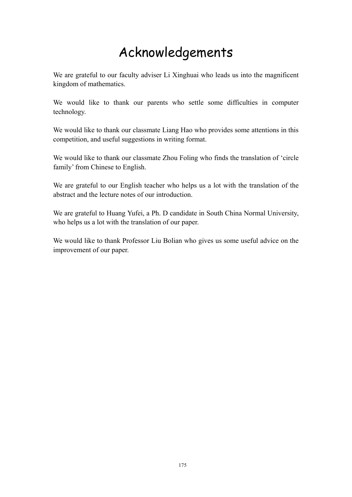# Acknowledgements

We are grateful to our [faculty adviser](javascript:void(0)) Li Xinghuai who leads us into the magnificent kingdom of mathematics.

We would like to thank our parents who settle some difficulties in computer technology.

We would like to thank our classmate Liang Hao who provides some attentions in this competition, and useful suggestions in writing format.

We would like to thank our classmate Zhou Foling who finds the translation of 'circle family' from Chinese to English.

We are grateful to our English teacher who helps us a lot with the translation of the abstract and the lecture notes of our introduction.

We are grateful to Huang Yufei, a Ph. D candidate in South China Normal University, who helps us a lot with the translation of our paper.

We would like to thank Professor Liu Bolian who gives us some useful advice on the improvement of our paper.